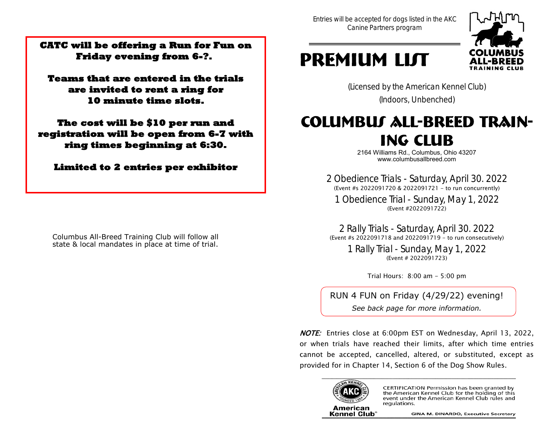# **CATC will be offering a Run for Fun on Friday evening from 6-?.**

**Teams that are entered in the trials are invited to rent a ring for 10 minute time slots.** 

**The cost will be \$10 per run and registration will be open from 6-7 with ring times beginning at 6:30.** 

**Limited to 2 entries per exhibitor** 

Columbus All-Breed Training Club will follow all state & local mandates in place at time of trial.



# **PREMIUM LIJT**

(Licensed by the American Kennel Club) (Indoors, Unbenched)

# **COLUMBUS ALL-BREED TRAIN-ING CLUB**

2164 Williams Rd., Columbus, Ohio 43207 www.columbusallbreed.com

2 Obedience Trials - Saturday, April 30. 2022 (Event #s 2022091720 & 2022091721 - to run concurrently) 1 Obedience Trial - Sunday, May 1, 2022 (Event #2022091722)

2 Rally Trials - Saturday, April 30. 2022 (Event #s 2022091718 and 2022091719 - to run consecutively)

> 1 Rally Trial - Sunday, May 1, 2022 (Event # 2022091723)

> > Trial Hours: 8:00 am - 5:00 pm

RUN 4 FUN on Friday (4/29/22) evening!

*See back page for more information.* 

NOTE: Entries close at 6:00pm EST on Wednesday, April 13, 2022, or when trials have reached their limits, after which time entries cannot be accepted, cancelled, altered, or substituted, except as provided for in Chapter 14, Section 6 of the Dog Show Rules.



CERTIFICATION Permission has been granted by the American Kennel Club for the holding of this event under the American Kennel Club rules and regulations.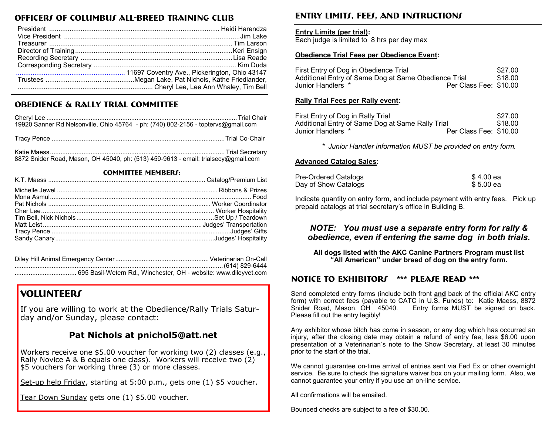### **OFFICERS OF columbus all-breed TRAINING CLUB**

# **obedience & rally trial committee**

| 8872 Snider Road, Mason, OH 45040, ph: (513) 459-9613 - email: trialsecy@gmail.com |  |
|------------------------------------------------------------------------------------|--|

#### **committee members:**

Diley Hill Animal Emergency Center.....................................................Veterinarian On-Call ......................................................................................................................(614) 829-6444 ................................... 695 Basil-Wetern Rd., Winchester, OH - website: www.dileyvet.com

# **VOLUNTEERS**

If you are willing to work at the Obedience/Rally Trials Saturday and/or Sunday, please contact:

# **Pat Nichols at pnichol5@att.net**

Workers receive one \$5.00 voucher for working two (2) classes (e.g., Rally Novice A & B equals one class). Workers will receive two (2) \$5 vouchers for working three (3) or more classes.

Set-up help Friday, starting at 5:00 p.m., gets one (1) \$5 voucher.

Tear Down Sunday gets one (1) \$5.00 voucher.

# **ENTRY LIMITS, FEES, AND INSTRUCTIONS**

#### **Entry Limits (per trial):**

Each judge is limited to 8 hrs per day max

#### **Obedience Trial Fees per Obedience Event:**

| First Entry of Dog in Obedience Trial                |                        | \$27.00 |
|------------------------------------------------------|------------------------|---------|
| Additional Entry of Same Dog at Same Obedience Trial |                        | \$18.00 |
| Junior Handlers *                                    | Per Class Fee: \$10.00 |         |

#### **Rally Trial Fees per Rally event:**

| First Entry of Dog in Rally Trial                |                        | \$27.00 |
|--------------------------------------------------|------------------------|---------|
| Additional Entry of Same Dog at Same Rally Trial |                        | \$18.00 |
| Junior Handlers *                                | Per Class Fee: \$10.00 |         |

*\* Junior Handler information MUST be provided on entry form.*

#### **Advanced Catalog Sales:**

| Pre-Ordered Catalogs | \$ 4.00 ea |
|----------------------|------------|
| Day of Show Catalogs | \$ 5.00 ea |

Indicate quantity on entry form, and include payment with entry fees. Pick up prepaid catalogs at trial secretary's office in Building B.

### *NOTE: You must use a separate entry form for rally & obedience, even if entering the same dog in both trials.*

**All dogs listed with the AKC Canine Partners Program must list "All American" under breed of dog on the entry form.**

### **NOTICE TO EXHIBITORS** \*\*\* PLEASE READ \*\*\*

Send completed entry forms (include both front **and** back of the official AKC entry form) with correct fees (payable to CATC in U.S. Funds) to: Katie Maess, 8872<br>Snider Road, Mason, OH 45040. Entry forms MUST be signed on back. Entry forms MUST be signed on back. Please fill out the entry legibly!

Any exhibitor whose bitch has come in season, or any dog which has occurred an injury, after the closing date may obtain a refund of entry fee, less \$6.00 upon presentation of a Veterinarian's note to the Show Secretary, at least 30 minutes prior to the start of the trial.

We cannot guarantee on-time arrival of entries sent via Fed Ex or other overnight service. Be sure to check the signature waiver box on your mailing form. Also, we cannot guarantee your entry if you use an on-line service.

All confirmations will be emailed.

Bounced checks are subject to a fee of \$30.00.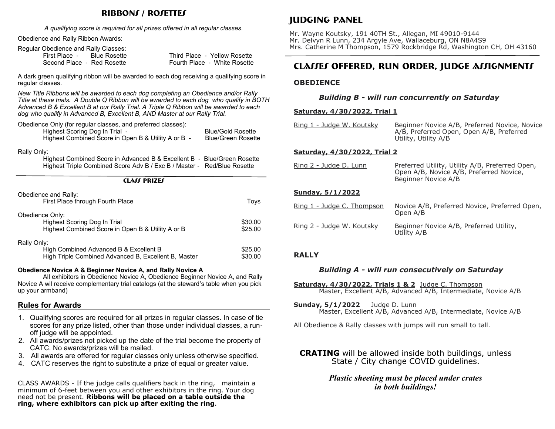#### **RIBBONS / ROSETTES**

*A qualifying score is required for all prizes offered in all regular classes.*

Obedience and Rally Ribbon Awards:

| Regular Obedience and Rally Classes: |                            |
|--------------------------------------|----------------------------|
| First Place -                        | <b>Blue Rosette</b>        |
|                                      | Second Place - Red Rosette |

Third Place - Yellow Rosette Fourth Place - White Rosette

A dark green qualifying ribbon will be awarded to each dog receiving a qualifying score in regular classes.

*New Title Ribbons will be awarded to each dog completing an Obedience and/or Rally Title at these trials. A Double Q Ribbon will be awarded to each dog who qualify in BOTH Advanced B & Excellent B at our Rally Trial. A Triple Q Ribbon will be awarded to each dog who qualify in Advanced B, Excellent B, AND Master at our Rally Trial.*

Obedience Only (for regular classes, and preferred classes):

| Highest Scoring Dog In Trial -                      | Blue/Gold Rosette         |
|-----------------------------------------------------|---------------------------|
| Highest Combined Score in Open B & Utility A or B - | <b>Blue/Green Rosette</b> |

Rally Only:

Highest Combined Score in Advanced B & Excellent B - Blue/Green Rosette Highest Triple Combined Score Adv B / Exc B / Master - Red/Blue Rosette

#### **CLASS PRIZES**

| Obedience and Rally:<br>First Place through Fourth Place                                                      | Tovs               |
|---------------------------------------------------------------------------------------------------------------|--------------------|
| Obedience Only:<br>Highest Scoring Dog In Trial<br>Highest Combined Score in Open B & Utility A or B          | \$30.00<br>\$25.00 |
| Rally Only:<br>High Combined Advanced B & Excellent B<br>High Triple Combined Advanced B, Excellent B, Master | \$25.00<br>\$30.00 |

#### **Obedience Novice A & Beginner Novice A, and Rally Novice A**

All exhibitors in Obedience Novice A, Obedience Beginner Novice A, and Rally Novice A wil receive complementary trial catalogs (at the steward's table when you pick up your armband)

#### **Rules for Awards**

- 1. Qualifying scores are required for all prizes in regular classes. In case of tie scores for any prize listed, other than those under individual classes, a runoff judge will be appointed.
- 2. All awards/prizes not picked up the date of the trial become the property of CATC. No awards/prizes will be mailed.
- 3. All awards are offered for regular classes only unless otherwise specified.
- 4. CATC reserves the right to substitute a prize of equal or greater value.

CLASS AWARDS - If the judge calls qualifiers back in the ring, maintain a minimum of 6-feet between you and other exhibitors in the ring. Your dog need not be present. **Ribbons will be placed on a table outside the ring, where exhibitors can pick up after exiting the ring**.

# **Judging panel**

Mr. Wayne Koutsky, 191 40TH St., Allegan, MI 49010-9144 Mr. Delvyn R Lunn, 234 Argyle Ave, Wallaceburg, ON N8A4S9 Mrs. Catherine M Thompson, 1579 Rockbridge Rd, Washington CH, OH 43160

### **Classes offered, run order, judge assignments**

#### **OBEDIENCE**

#### *Building B - will run concurrently on Saturday*

#### **Saturday, 4/30/2022, Trial 1**

| Ring 1 - Judge W. Koutsky    | Beginner Novice A/B, Preferred Novice, Novice<br>A/B, Preferred Open, Open A/B, Preferred<br>Utility, Utility A/B |
|------------------------------|-------------------------------------------------------------------------------------------------------------------|
| Saturday, 4/30/2022, Trial 2 |                                                                                                                   |
| Ring 2 - Judge D. Lunn       | Preferred Utility, Utility A/B, Preferred Open,<br>Open A/B, Novice A/B, Preferred Novice,<br>Beginner Novice A/B |
| Sunday, 5/1/2022             |                                                                                                                   |
| Ring 1 - Judge C. Thompson   | Novice A/B, Preferred Novice, Preferred Open,<br>Open A/B                                                         |
| Ring 2 - Judge W. Koutsky    | Beginner Novice A/B, Preferred Utility,<br>Utility A/B                                                            |

#### **RALLY**

#### *Building A - will run consecutively on Saturday*

**Saturday, 4/30/2022, Trials 1 & 2** Judge C. Thompson Master, Excellent A/B, Advanced A/B, Intermediate, Novice A/B

**Sunday, 5/1/2022** Judge D. Lunn Master, Excellent A/B, Advanced A/B, Intermediate, Novice A/B

All Obedience & Rally classes with jumps will run small to tall.

#### **CRATING** will be allowed inside both buildings, unless State / City change COVID guidelines.

#### *Plastic sheeting must be placed under crates in both buildings!*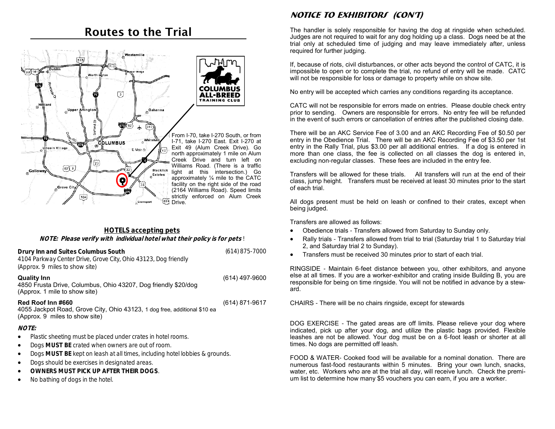# Routes to the Trial



#### **HOTELS accepting pets NOTE: Please verify with individual hotel what their policy is for pets** !

| Drury Inn and Suites Columbus South<br>4104 Parkway Center Drive, Grove City, Ohio 43123, Dog friendly<br>(Approx. 9 miles to show site) | $(614)$ 875-7000 |
|------------------------------------------------------------------------------------------------------------------------------------------|------------------|
| <b>Quality Inn</b><br>4850 Frusta Drive, Columbus, Ohio 43207, Dog friendly \$20/dog<br>(Approx. 1 mile to show site)                    | (614) 497-9600   |
| Red Roof Inn #660<br>4055 Jackpot Road, Grove City, Ohio 43123, 1 dog free, additional \$10 ea<br>(Approx. 9 miles to show site)         | (614) 871-9617   |
| NOTE:                                                                                                                                    |                  |
| Plastic sheeting must be placed under crates in hotel rooms.<br>$\bullet$                                                                |                  |
| Dogs MUST BE crated when owners are out of room.<br>$\bullet$                                                                            |                  |
| Dogs MUST BE kept on leash at all times, including hotel lobbies & grounds.<br>$\bullet$                                                 |                  |
| Dogs should be exercises in designated areas.<br>$\bullet$                                                                               |                  |

- **OWNERS MUST PICK UP AFTER THEIR DOGS**.
- No bathing of dogs in the hotel.

# **NOTICE TO EXHIBITORS (con't)**

The handler is solely responsible for having the dog at ringside when scheduled. Judges are not required to wait for any dog holding up a class. Dogs need be at the trial only at scheduled time of judging and may leave immediately after, unless required for further judging.

If, because of riots, civil disturbances, or other acts beyond the control of CATC, it is impossible to open or to complete the trial, no refund of entry will be made. CATC will not be responsible for loss or damage to property while on show site.

No entry will be accepted which carries any conditions regarding its acceptance.

CATC will not be responsible for errors made on entries. Please double check entry prior to sending. Owners are responsible for errors. No entry fee will be refunded in the event of such errors or cancellation of entries after the published closing date.

There will be an AKC Service Fee of 3.00 and an AKC Recording Fee of \$0.50 per entry in the Obedience Trial. There will be an AKC Recording Fee of \$3.50 per 1st entry in the Rally Trial, plus \$3.00 per all additional entries. If a dog is entered in more than one class, the fee is collected on all classes the dog is entered in, excluding non-regular classes. These fees are included in the entry fee.

Transfers will be allowed for these trials. All transfers will run at the end of their class, jump height. Transfers must be received at least 30 minutes prior to the start of each trial.

All dogs present must be held on leash or confined to their crates, except when being judged.

Transfers are allowed as follows:

- Obedience trials Transfers allowed from Saturday to Sunday only.
- Rally trials Transfers allowed from trial to trial (Saturday trial 1 to Saturday trial 2, and Saturday trial 2 to Sunday).
- Transfers must be received 30 minutes prior to start of each trial.

RINGSIDE - Maintain 6-feet distance between you, other exhibitors, and anyone else at all times. If you are a worker-exhibitor and crating inside Building B, you are responsible for being on time ringside. You will not be notified in advance by a steward.

CHAIRS - There will be no chairs ringside, except for stewards

DOG EXERCISE - The gated areas are off limits. Please relieve your dog where indicated, pick up after your dog, and utilize the plastic bags provided. Flexible leashes are not be allowed. Your dog must be on a 6-foot leash or shorter at all times. No dogs are permitted off leash.

FOOD & WATER- Cooked food will be available for a nominal donation. There are numerous fast-food restaurants within 5 minutes. Bring your own lunch, snacks, water, etc. Workers who are at the trial all day, will receive lunch. Check the premium list to determine how many \$5 vouchers you can earn, if you are a worker.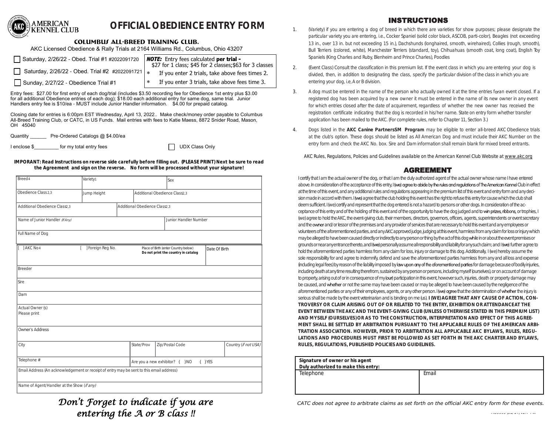

# **OFFICIAL OBEDIENCE ENTRY FORM**

#### **Columbus All-breed training club.**

AKC Licensed Obedience & Rally Trials at 2164 Williams Rd., Columbus, Ohio 43207

| Saturday, 2/26/22 - Obed. Trial #1 #2022091720                 | <b>NOTE:</b> Entry fees calculated <b>per trial -</b><br>\$27 for 1 class; \$45 for 2 classes; \$63 for 3 classes |
|----------------------------------------------------------------|-------------------------------------------------------------------------------------------------------------------|
| Saturday, 2/26/22 - Obed. Trial #2 #2022091721 $\frac{1}{100}$ | If you enter 2 trials, take above fees times 2.                                                                   |
| Sunday, 2/27/22 - Obedience Trial #1                           | If you enter 3 trials, take above fees time 3.                                                                    |

Entry fees: \$27.00 for first entry of each dog/trial (includes \$3.50 recording fee for Obedience 1st entry plus \$3.00 for all additional Obedience entries of each dog); \$18.00 each additional entry for same dog, same trial. Junior Handlers entry fee is \$10/ea - MUST include Junior Handler information. \$4.00 for prepaid catalog.

Closing date for entries is 6:00pm EST Wednesday, April 13, 2022.. Make check/money order payable to Columbus All-Breed Training Club, or CATC, in US Funds. Mail entries with fees to Katie Maess, 8872 Snider Road, Mason, OH 45040

Quantity Pre-Ordered Catalogs @ \$4.00/ea

I enclose \$ [100] for my total entry fees T CONSERVIATE: The UDX Class Only

**IMPORANT: Read Instructions on reverse side carefully before filling out. (PLEASE PRINT) Next be sure to read the Agreement and sign on the reverse. No form will be processed without your signature!**

| Breed 4                                                                                  | Variety1        |                                 |                               |                               | Sex                                                                         |               |                      |
|------------------------------------------------------------------------------------------|-----------------|---------------------------------|-------------------------------|-------------------------------|-----------------------------------------------------------------------------|---------------|----------------------|
| Obedience Class 2.3                                                                      | Jump Height     |                                 |                               | Additional Obedience Class2.3 |                                                                             |               |                      |
| Additional Obedience Class2.3                                                            |                 |                                 | Additional Obedience Class2.3 |                               |                                                                             |               |                      |
| Name of Junior Handler (If Any)                                                          |                 |                                 |                               |                               | Junior Handler Number                                                       |               |                      |
| Full Name of Dog                                                                         |                 |                                 |                               |                               |                                                                             |               |                      |
| AKC No <sub>4</sub>                                                                      | Foreign Reg No. |                                 |                               |                               | Place of Birth (enter Country below)<br>Do not print the country in catalog | Date Of Birth |                      |
| Breeder                                                                                  |                 |                                 |                               |                               |                                                                             |               |                      |
| <b>Sire</b>                                                                              |                 |                                 |                               |                               |                                                                             |               |                      |
| Dam                                                                                      |                 |                                 |                               |                               |                                                                             |               |                      |
| Actual Owner (s)<br>Please print                                                         |                 |                                 |                               |                               |                                                                             |               |                      |
| Owner's Address                                                                          |                 |                                 |                               |                               |                                                                             |               |                      |
| City                                                                                     |                 |                                 | State/Prov                    |                               | Zip/Postal Code                                                             |               | Country (if not USA) |
| Telephone #                                                                              |                 | Are you a new exhibitor? { } NO |                               |                               | $\{\quad\}$ YES                                                             |               |                      |
| Email Address (An acknowledgement or receipt of entry may be sent to this email address) |                 |                                 |                               |                               |                                                                             |               |                      |
| Name of Agent/Handler at the Show (if any)                                               |                 |                                 |                               |                               |                                                                             |               |                      |

*Don't Forget to indicate if you are entering the A or B class !!* 

### INSTRUCTIONS

- 1. (Variety) if you are entering a dog of breed in which there are varieties for show purposes; please designate the particular variety you are entering, i.e., Cocker Spaniel (solid color black, ASCOB, parti-color), Beagles (not exceeding 13 in., over 13 in. but not exceeding 15 in.), Dachshunds (longhaired, smooth, wirehaired), Collies (rough, smooth), Bull Terriers (colored, white), Manchester Terriers (standard, toy), Chihuahuas (smooth coat, long coat), English Toy Spaniels (King Charles and Ruby, Blenheim and Prince Charles), Poodles
- 2. (Event Class) Consult the classification in this premium list. If the event class in which you are entering your dog is divided, then, in addition to designating the class, specify the particular division of the class in which you are entering your dog, i.e,Aor B division.
- 3. A dog must be entered in the name of the person who actually owned it at the time entries foran event closed. If a registered dog has been acquired by a new owner it must be entered in the name of its new owner in any event for which entries closed after the date of acquirement, regardless of whether the new owner has received the registration certificate indicating that the dog is recorded in his/her name. State on entry form whether transfer application has been mailed to theAKC. (For complete rules, refer to Chapter 11, Section 3.)
- 4. Dogs listed in the **AKC Canine PartnersSM Program** may be eligible to enter all-breed AKC Obedience trials at the club's option. These dogs should be listed as All American Dog and must include their AKC Number on the entry form and check the AKC No. box. Sire and Dam information shall remain blank for mixed breed entrants.

AKC Rules, Regulations, Policies and Guidelines available on the American Kennel Club Website at [www.akc.org](http://www.akc.org/)

#### **AGREEMENT**

I certify that I am the actual owner of the dog, or that I am the duly authorized agent of the actual owner whose name I have entered above. In consideration of the acceptance of this entry, I (we) agree to abide by the rules and regulations of The American Kennel Club in effect at the time of this event, and any additional rules and regulations appearing in the premium list of this event and entry form and any decision made in accord with them. I (we) agree that the club holding this event has the right to refuse this entry for cause which the club shall deem sufficient. I (we) certify and represent that the dog entered is not a hazard to persons or other dogs. In consideration of the acceptance of this entry and of the holding of this event and of the opportunity to have the dog judged and to win prizes, ribbons, or trophies, I (we) agree to hold the AKC, the event-giving club, their members, directors, governors, officers, agents, superintendents or event secretary and the owner and/or lessor of the premises and any provider of services that are necessary to hold this event and any employees or volunteers of the aforementioned parties, and any AKC approved judge, judging at this event, harmless from any claim for loss or injury which may be alleged to have been caused directly or indirectly to any person or thing by the act of this dog while in or about the event premises or grounds or near any entrance thereto, and I (we) personally assume all responsibility and liability for any such claim; and I (we) further agree to hold the aforementioned parties harmless from any claim for loss, injury or damage to this dog. Additionally, I (we) hereby assume the sole responsibility for and agree to indemnify, defend and save the aforementioned parties harmless from any and all loss and expense (including legal fees) by reason of the liability imposed by law upon any of the aforementioned parties for damage because of bodily injuries, including death at any time resulting therefrom, sustained by any person or persons, including myself (ourselves), or on account of damage to property, arising out of or in consequence of my (our) participation in this event, however such, injuries, death or property damage may be caused, and whether or not the same may have been caused or may be alleged to have been caused by the negligence of the aforementioned parties or any of their employees, agents, or any other person. I we agree that the determination of whether the injury is serious shall be madeby the event veterinarian andis bindingon me (us). **I (WE) AGREE THAT ANY CAUSE OF ACTION, CON-TROVERSY OR CLAIM ARISING OUT OF OR RELATED TO THE ENTRY, EXHIBITION OR ATTENDANCEAT THE EVENT BETWEEN THEAKCAND THE EVENT-GIVING CLUB (UNLESS OTHERWISE STATED IN THIS PREMIUM LIST) AND MYSELF (OURSELVES)OR AS TO THE CONSTRUCTION, INTERPRETATION AND EFFECT OF THIS AGREE-MENT SHALL BE SETTLED BY ARBITRATION PURSUANT TO THE APPLICABLE RULES OF THE AMERICAN ARBI-TRATION ASSOCIATION. HOWEVER, PRIOR TO ARBITRATION ALL APPLICABLE AKC BYLAWS, RULES, REGU-LATIONS AND PROCEDURES MUST FIRST BE FOLLOWED AS SET FORTH IN THE AKC CHARTER AND BYLAWS, RULES, REGULATIONS, PUBLISHED POLICIESAND GUIDELINES.**

| Signature of owner or his agent     |       |
|-------------------------------------|-------|
| Duly authorized to make this entry: |       |
| Telephone                           | Email |

*CATC does not agree to arbitrate claims as set forth on the official AKC entry form for these events.*